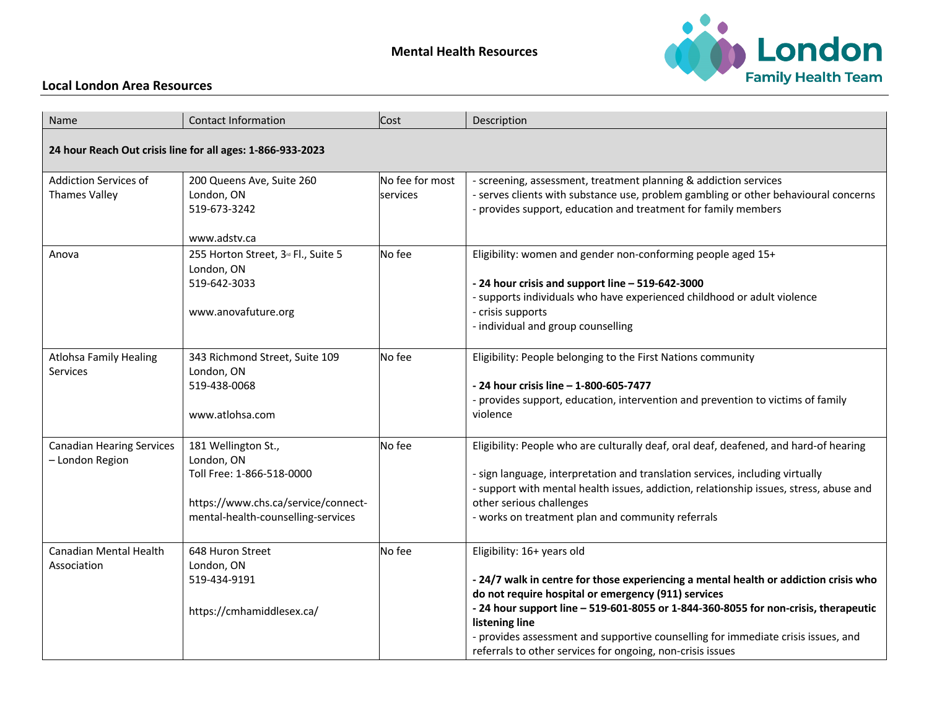## **Mental Health Resources**



## **Local London Area Resources**

| Name                                                       | <b>Contact Information</b>                                                                                                                  | Cost                        | Description                                                                                                                                                                                                                                                                                                                                                                                                                           |
|------------------------------------------------------------|---------------------------------------------------------------------------------------------------------------------------------------------|-----------------------------|---------------------------------------------------------------------------------------------------------------------------------------------------------------------------------------------------------------------------------------------------------------------------------------------------------------------------------------------------------------------------------------------------------------------------------------|
| 24 hour Reach Out crisis line for all ages: 1-866-933-2023 |                                                                                                                                             |                             |                                                                                                                                                                                                                                                                                                                                                                                                                                       |
| <b>Addiction Services of</b><br><b>Thames Valley</b>       | 200 Queens Ave, Suite 260<br>London, ON<br>519-673-3242<br>www.adstv.ca                                                                     | No fee for most<br>services | - screening, assessment, treatment planning & addiction services<br>- serves clients with substance use, problem gambling or other behavioural concerns<br>- provides support, education and treatment for family members                                                                                                                                                                                                             |
| Anova                                                      | 255 Horton Street, 3 <sup>rd</sup> Fl., Suite 5<br>London, ON<br>519-642-3033<br>www.anovafuture.org                                        | No fee                      | Eligibility: women and gender non-conforming people aged 15+<br>- 24 hour crisis and support line - 519-642-3000<br>- supports individuals who have experienced childhood or adult violence<br>- crisis supports<br>- individual and group counselling                                                                                                                                                                                |
| <b>Atlohsa Family Healing</b><br>Services                  | 343 Richmond Street, Suite 109<br>London, ON<br>519-438-0068<br>www.atlohsa.com                                                             | No fee                      | Eligibility: People belonging to the First Nations community<br>- 24 hour crisis line - 1-800-605-7477<br>- provides support, education, intervention and prevention to victims of family<br>violence                                                                                                                                                                                                                                 |
| <b>Canadian Hearing Services</b><br>- London Region        | 181 Wellington St.,<br>London, ON<br>Toll Free: 1-866-518-0000<br>https://www.chs.ca/service/connect-<br>mental-health-counselling-services | No fee                      | Eligibility: People who are culturally deaf, oral deaf, deafened, and hard-of hearing<br>- sign language, interpretation and translation services, including virtually<br>- support with mental health issues, addiction, relationship issues, stress, abuse and<br>other serious challenges<br>- works on treatment plan and community referrals                                                                                     |
| <b>Canadian Mental Health</b><br>Association               | 648 Huron Street<br>London, ON<br>519-434-9191<br>https://cmhamiddlesex.ca/                                                                 | No fee                      | Eligibility: 16+ years old<br>- 24/7 walk in centre for those experiencing a mental health or addiction crisis who<br>do not require hospital or emergency (911) services<br>- 24 hour support line - 519-601-8055 or 1-844-360-8055 for non-crisis, therapeutic<br>listening line<br>- provides assessment and supportive counselling for immediate crisis issues, and<br>referrals to other services for ongoing, non-crisis issues |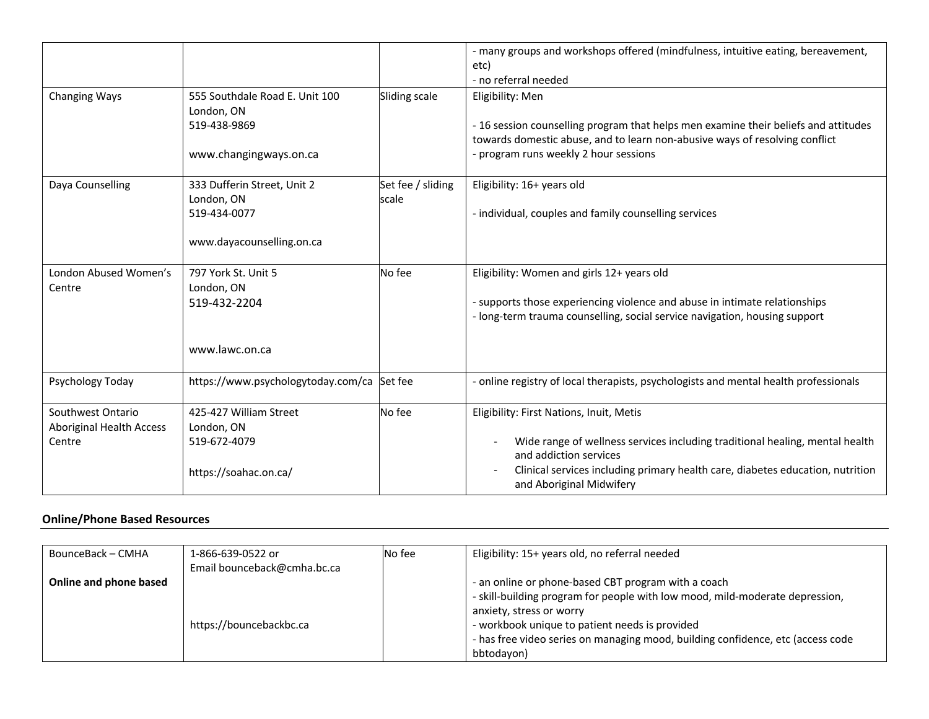|                                                         |                                                                                        |                            | - many groups and workshops offered (mindfulness, intuitive eating, bereavement,<br>etc)<br>- no referral needed                                                                                                                                                 |
|---------------------------------------------------------|----------------------------------------------------------------------------------------|----------------------------|------------------------------------------------------------------------------------------------------------------------------------------------------------------------------------------------------------------------------------------------------------------|
| Changing Ways                                           | 555 Southdale Road E. Unit 100<br>London, ON<br>519-438-9869<br>www.changingways.on.ca | Sliding scale              | Eligibility: Men<br>- 16 session counselling program that helps men examine their beliefs and attitudes<br>towards domestic abuse, and to learn non-abusive ways of resolving conflict<br>- program runs weekly 2 hour sessions                                  |
| Daya Counselling                                        | 333 Dufferin Street, Unit 2<br>London, ON<br>519-434-0077<br>www.dayacounselling.on.ca | Set fee / sliding<br>scale | Eligibility: 16+ years old<br>- individual, couples and family counselling services                                                                                                                                                                              |
| London Abused Women's<br>Centre                         | 797 York St. Unit 5<br>London, ON<br>519-432-2204<br>www.lawc.on.ca                    | No fee                     | Eligibility: Women and girls 12+ years old<br>- supports those experiencing violence and abuse in intimate relationships<br>- long-term trauma counselling, social service navigation, housing support                                                           |
| Psychology Today                                        | https://www.psychologytoday.com/ca Set fee                                             |                            | - online registry of local therapists, psychologists and mental health professionals                                                                                                                                                                             |
| Southwest Ontario<br>Aboriginal Health Access<br>Centre | 425-427 William Street<br>London, ON<br>519-672-4079<br>https://soahac.on.ca/          | No fee                     | Eligibility: First Nations, Inuit, Metis<br>Wide range of wellness services including traditional healing, mental health<br>and addiction services<br>Clinical services including primary health care, diabetes education, nutrition<br>and Aboriginal Midwifery |

## **Online/Phone Based Resources**

| BounceBack – CMHA      | 1-866-639-0522 or           | No fee | Eligibility: 15+ years old, no referral needed                                  |
|------------------------|-----------------------------|--------|---------------------------------------------------------------------------------|
|                        | Email bounceback@cmha.bc.ca |        |                                                                                 |
| Online and phone based |                             |        | - an online or phone-based CBT program with a coach                             |
|                        |                             |        | - skill-building program for people with low mood, mild-moderate depression,    |
|                        |                             |        | anxiety, stress or worry                                                        |
|                        | https://bouncebackbc.ca     |        | - workbook unique to patient needs is provided                                  |
|                        |                             |        | - has free video series on managing mood, building confidence, etc (access code |
|                        |                             |        | bbtodavon)                                                                      |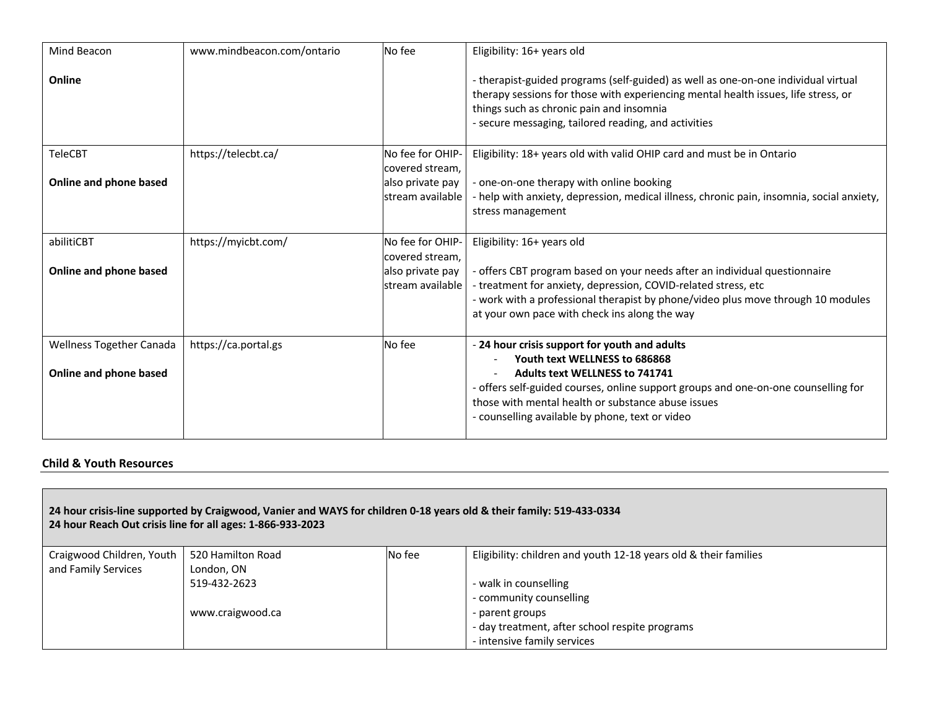| Mind Beacon                                        | www.mindbeacon.com/ontario | No fee                                                                      | Eligibility: 16+ years old                                                                                                                                                                                                                                                                                             |
|----------------------------------------------------|----------------------------|-----------------------------------------------------------------------------|------------------------------------------------------------------------------------------------------------------------------------------------------------------------------------------------------------------------------------------------------------------------------------------------------------------------|
| Online                                             |                            |                                                                             | - therapist-guided programs (self-guided) as well as one-on-one individual virtual<br>therapy sessions for those with experiencing mental health issues, life stress, or<br>things such as chronic pain and insomnia<br>- secure messaging, tailored reading, and activities                                           |
| <b>TeleCBT</b>                                     | https://telecbt.ca/        | No fee for OHIP-<br>covered stream,                                         | Eligibility: 18+ years old with valid OHIP card and must be in Ontario                                                                                                                                                                                                                                                 |
| Online and phone based                             |                            | also private pay<br>lstream available                                       | - one-on-one therapy with online booking<br>- help with anxiety, depression, medical illness, chronic pain, insomnia, social anxiety,<br>stress management                                                                                                                                                             |
| abilitiCBT<br>Online and phone based               | https://myicbt.com/        | No fee for OHIP-<br>covered stream,<br>also private pay<br>stream available | Eligibility: 16+ years old<br>- offers CBT program based on your needs after an individual questionnaire<br>- treatment for anxiety, depression, COVID-related stress, etc<br>- work with a professional therapist by phone/video plus move through 10 modules<br>at your own pace with check ins along the way        |
| Wellness Together Canada<br>Online and phone based | https://ca.portal.gs       | No fee                                                                      | - 24 hour crisis support for youth and adults<br>Youth text WELLNESS to 686868<br><b>Adults text WELLNESS to 741741</b><br>- offers self-guided courses, online support groups and one-on-one counselling for<br>those with mental health or substance abuse issues<br>- counselling available by phone, text or video |

## **Child & Youth Resources**

| 24 hour crisis-line supported by Craigwood, Vanier and WAYS for children 0-18 years old & their family: 519-433-0334<br>24 hour Reach Out crisis line for all ages: 1-866-933-2023 |                   |        |                                                                  |  |
|------------------------------------------------------------------------------------------------------------------------------------------------------------------------------------|-------------------|--------|------------------------------------------------------------------|--|
| Craigwood Children, Youth                                                                                                                                                          | 520 Hamilton Road | No fee | Eligibility: children and youth 12-18 years old & their families |  |
| and Family Services                                                                                                                                                                | London, ON        |        |                                                                  |  |
|                                                                                                                                                                                    | 519-432-2623      |        | - walk in counselling                                            |  |
|                                                                                                                                                                                    |                   |        | - community counselling                                          |  |
|                                                                                                                                                                                    | www.craigwood.ca  |        | - parent groups                                                  |  |
|                                                                                                                                                                                    |                   |        | - day treatment, after school respite programs                   |  |
|                                                                                                                                                                                    |                   |        | - intensive family services                                      |  |